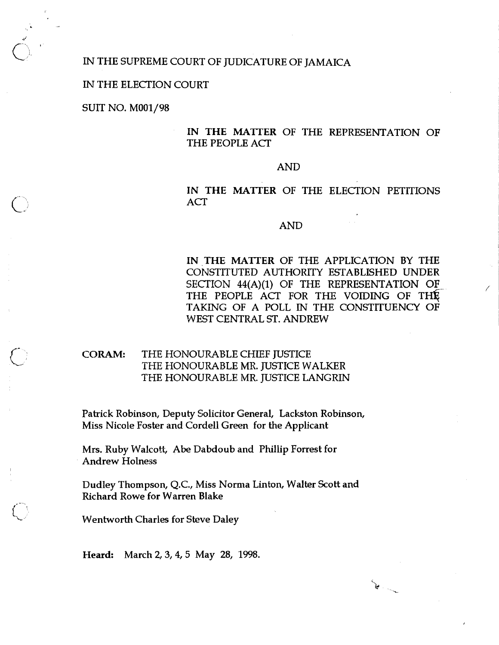#### IN THE SUPREME COURT OF JUDICATURE OF JAMAICA

#### IN 'THE ELECTION COURT

SUIT NO. M001/98

**<sup>J</sup>**C), '

## **IN THE MATTER** OF THE REPRESENTATION OF THE PEOPLE ACT

#### AND

IN THE MATTER OF THE ELECTION PETITIONS ACT

#### AND

**IN THE MATTER** OF THE APPLICATION BY THE CONSTITUTED AUTHORITY ESTABLISHED UNDER SECTION  $44(A)(1)$  OF THE REPRESENTATION OF THE PEOPLE ACT FOR THE VOIDING OF THE TAKING OF A POLL IN THE CONSTITUENCY OF WEST CENTRAL ST. ANDREW

 $\begin{picture}(220,20) \put(0,0){\line(1,0){10}} \put(15,0){\line(1,0){10}} \put(15,0){\line(1,0){10}} \put(15,0){\line(1,0){10}} \put(15,0){\line(1,0){10}} \put(15,0){\line(1,0){10}} \put(15,0){\line(1,0){10}} \put(15,0){\line(1,0){10}} \put(15,0){\line(1,0){10}} \put(15,0){\line(1,0){10}} \put(15,0){\line(1,0){10}} \put(15,0){\line($ 

# **CORAM:** THE HONOURABLE CHIEF JUSTICE THE HONOURABLE MR. JUSTICE WALKER THE HONOURABLE MR. JUSTICE LANGRIN

Patrick Robinson, Deputy Solicitor General, Lackston Robinson, Miss Nicole Foster and Cordell Green for the Applicant

Mrs. Ruby Walcott, Abe Dabdoub and Phillip Forrest for Andrew Holness

DudIey Thompson, Q.C., Miss Norma Linton, Walter Scott and Richard Rowe for Warren Blake

Wentworth Charles for Steve Daley

**Heard:** March 2,3,4,5 May 28, 1998.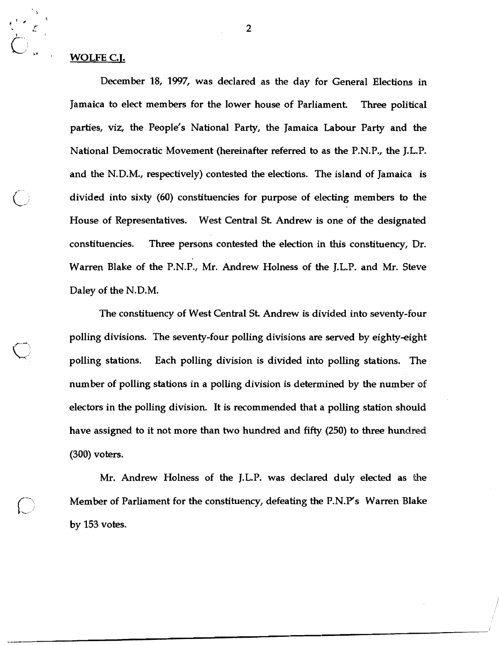# **L-** t, " *8* **WOLFE C.I.**

**+ly** 

**t r'** 

> December 18, 1997, was declared as the day for General Elections in Jamaica to elect members for the lower house of Parliament. **Three** political parties, viz, the People's National Party, the Jamaica **Labour** Party and the National Democratic Movement (hereinafter referred to as the P.N.P., the J.L.P. and the N.D.M., respectively) contested the elections. The island of Jamaica is divided into sixty (60) constituencies for purpose of electing members **to** the House of Representatives. West Central St Andrew is one of the designated constituencies. **Three** persons contested the election in this constituency, Dr. Warren Blake of the P.N.P., Mr. Andrew Holness of the J.L.P. and Mr. Steve Daley of the N.D.M.

> The constituency of West Central St. Andrew is divided into seventy-four polling divisions. The seventy-four polling divisions are served by eighty-eight polling stations. Each polling division is divided into polling stations. The number of polling stations in a polling division is determined by the number **of**  electors in the polling division. It is recommended that a polling station should have assigned to it not more than two hundred and fifty (250) to three hundred (300) voters.

> Mr. Andrew Holness of the J.L.P. was declared duly elected as ithe Member of Parliament for the constituency, defeating the P.N.P's Warren Blake by 153 votes.

 $\overline{2}$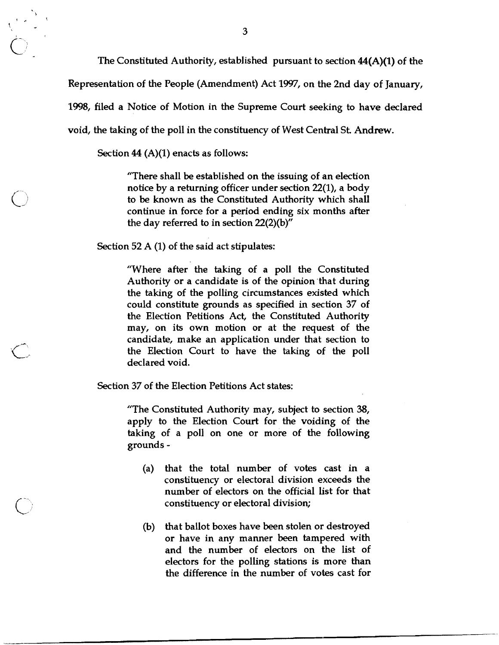The Constituted Authority, established pursuant to section  $44(A)(1)$  of the Representation of the People (Amendment) Act 1997, on the 2nd day of January, 1998, filed a Notice of Motion in the Supreme Court seeking to have declared void, the taking of the poll in the constituency of West Central St. Andrew.

Section  $44$  (A)(1) enacts as follows:

"There shall be established on the issuing of an election notice by a returning officer under section 22(1), a body to be known as the Constituted Authority which shall continue in force for a period ending six months after the day referred to in section 22(2)(b)"

Section 52 A (1) of the said act stipulates:

"Where after the taking of a poll the Constituted Authority or a candidate is of the opinion 'that during the taking of the polling circumstances existed which could constitute grounds as specified in section 37 of the Election Petitions Act, the Constituted Authority may, on its own motion or at the request of the candidate, make an application under that section to the Election Court to have the taking of the poll declared void.

Section 37 of the Election Petitions Act states:

"The Constituted Authority may, subject to section 38, apply to the Election Court for the voiding of the taking of a poll on one or more of the following grounds -

- (a) that the total number of votes cast in a constituency or electoral division exceeds the number of electors on the official list for that constituency or electoral division;
- (b) that ballot boxes have been stolen or destroyed or have in any manner been tampered with and the number of electors on the list of electors for the polling stations is more than the difference in the number of votes cast for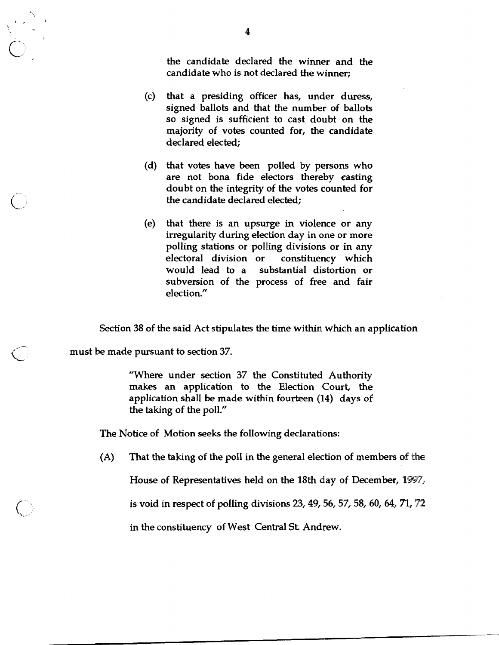the candidate declared the winner and the candidate who is not declared the winner;

- (c) that a presiding officer has, under duress, signed ballots and that the number of ballots so signed is sufficient to cast doubt on the majority of votes counted for, the candidate declared elected:
- (d) that votes have been polled by persons who are not bona fide electors thereby casting doubt on the integrity of the votes counted for the candidate declared elected;
- (e) that there is an upsurge in violence or any irregularity during election day in one or more polling stations or polling divisions or in any electoral division or constituency which would lead to a substantial distortion or subversion of the process of free and fair election."

Section 38 of the said Act stipulates the time within which an application

must be made pursuant to section 37.

"Where under section 37 the Constituted Authority makes an application to the Election Court, the application shall be made within fourteen (14) days of the taking of the poll."

The Notice of Motion seeks the following declarations:

**(A)** That the taking of the poll in the general election of members of **{he** 

House of Representatives held on the 18th day of December, 1997,

is void in respect of polling divisions  $23, 49, 56, 57, 58, 60, 64, 71, 72$ 

in the constituency of West Central St Andrew.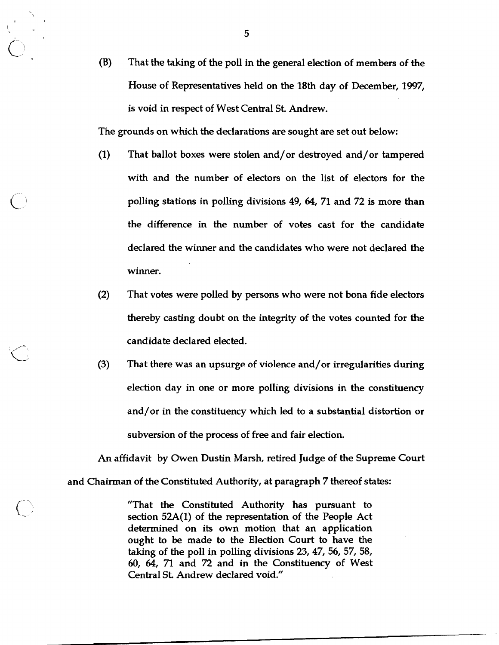**(B)** That the taking of the poll in the general election of members of the House of Representatives held on the 18th day of December, 1997, is void in respect of West Central St. Andrew.

The grounds on which the declarations are sought are set out below:

- (1) That ballot boxes were stolen and/or destroyed and/or tampered with and the number of electors on the list of electors for the polling stations in polling divisions 49, 64, 71 and 72 is more than the difference in the number of votes cast for the candidate declared the winner and the candidates who were not declared the winner.
- (2) That votes were polled by persons who were not bona fide electors thereby casting doubt on the integrity of the votes counted for the candidate declared elected.
- (3) That there was an upsurge of violence and/or irregularities during election day in one or more polling divisions in the constituency and/or in the constituency which led to a substantial distortion or subversion of the process of free and fair election.

An affidavit by Owen Dustin Marsh, retired Judge of the Supreme Court and Chairman of the Constituted Authority, at paragraph 7 thereof states:

> "That the Constituted Authority has pursuant to section 52A(1) of the representation of the People Act determined on its own motion that an application ought to be made to the Election Court to have the taking of the poll in polling divisions 23, 47, 56, 57,58, 60, 64, 71 and 72 and in the Constituency of West Central St Andrew declared void."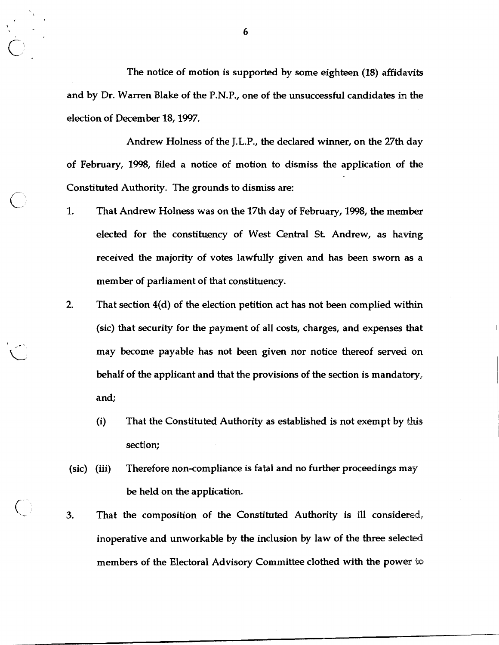The notice of motion is supported by some eighteen (18) affidavits and by Dr. Warren Blake of the P.N.P., one of the unsuccessful candidates **in** the election of December 18,1997.

Andrew Holness of the J.L.P., the declared winner, on the 27th day of February, 1998, filed a notice of motion to dismiss the application of the Constituted Authority. The grounds to dismiss are:<br>1. That Andrew Holness was on the 17th day of February, 1998, the member

- elected for the constituency of West Central St Andrew, as having received the majority of votes lawfully given and has been sworn as a member of parliament of that constituency.
- 2. That section 4(d) of the election petition act has not been complied within (sic) that security for the payment of all costs, charges, and expenses that may become payable has not been given nor notice thereof served on behalf of the applicant and that the provisions of the section is mandatory, and;
	- (i) That the Constituted Authority as established is not exempt by **this**  section;
- (sic) (iii) Therefore non-compliance is fatal and no further proceedings may be held on the application.
- **3.** That the composition of the Constituted Authority is ill considered, inoperative and unworkable by the inclusion by law of the three selected members of the Electoral Advisory Committee clothed with the power to

 $6\phantom{1}6$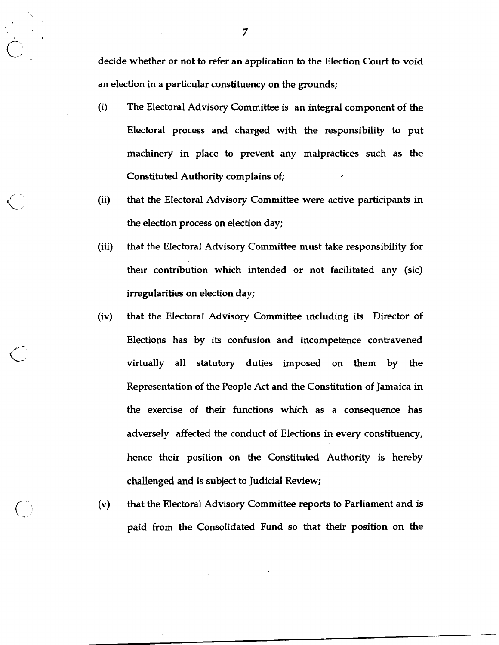decide whether or not to refer an application to the Election Court to void an election in a particular constituency on the grounds;

- (i) The Electoral Advisory Committee is an integral component of the Electoral process and charged with the responsibility to put machinery in place to prevent any malpractices such as the Constituted Authority complains of;
- (ii) that the Electoral Advisory Committee were active participants in the election process on election day;
- (iii) that the Electoral Advisory Committee must take responsibility for their contribution which intended or not facilitated any (sic) irregularities on election day;
- (iv) that the Electoral Advisory Committee including its Director of Elections has by its confusion and incompetence contravened virtually all statutory duties imposed on them by the Representation of the People Act and the Constitution of Jamaica in the exercise of their functions which as a consequence has adversely affected the conduct of Elections in every constituency, hence their position on the Constituted Authority is hereby challenged and is subject to Judicial Review;
- **(v)** that the Electoral Advisory Committee reports to Parliament and is paid from the Consolidated Fund so that their position on the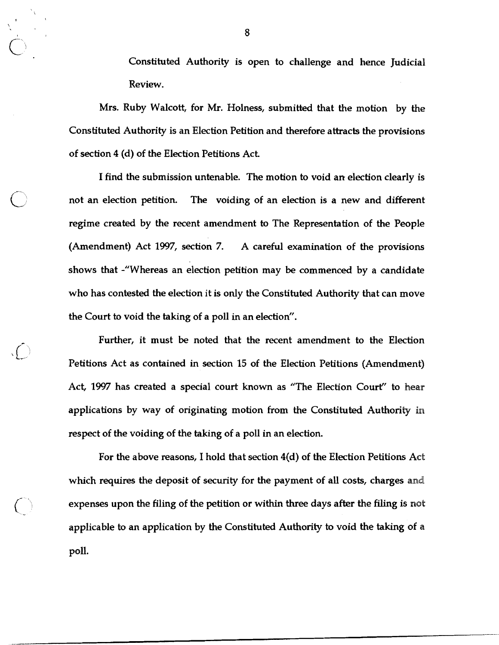Constituted Authority is open to challenge and hence Judicial Review.

Mrs. Ruby Walcott, for Mr. Holness, submitted that the motion by the Constituted Authority is an Election Petition and therefore attracts the provisions of section 4 (d) of the Election Petitions Act,

I find the submission untenable. The motion to void an election clearly is not an election petition. The voiding of an election is a new and different regime created by the recent amendment to The Representation of the People (Amendment) Act 1997, section 7. A careful examination of the provisions shows that -"Whereas an election petition may be commenced by a candidate who has contested the election it is only the Constituted Authority that can move the Court to void the taking of a poll in an election".

Further, it must be noted that the recent amendment to the Election Petitions Act as contained in section 15 of the Election Petitions (Amendment) Act, 1997 has created a special court known as "The Election Court" to **hear**  applications by way of originating motion from the Constituted Authority **in**  respect of the voiding of the taking of a poll in an election.

For the above reasons, I hold that section 4(d) of the Election Petitions Act which requires the deposit of security for the payment of all costs, charges and expenses upon the filing of the petition or within three days after the filing is not applicable to an application by the Constituted Authority to void the taking of a poll.

8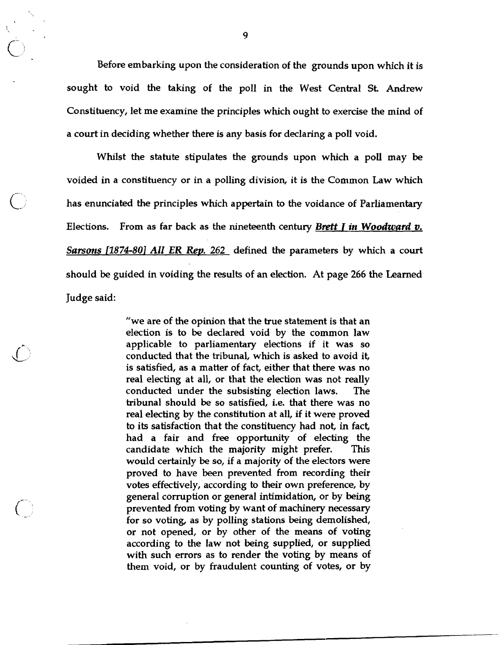Before embarking upon the consideration of the grounds upon which it is sought to void the taking of the poll in the West Central St Andrew Constituency, let me examine the principles which ought to exercise the mind of a court in deciding whether there is any basis for declaring a poll void.

Whilst the statute stipulates the grounds upon which a poll may be voided in a constituency or in a polling division, it is the Common Law which has enunciated the principles which appertain to the voidance of Parliamentary Elections. From as far back as the nineteenth century Brett **T** in *Woodward* **v.**  *Sarsons* **L1874-801** *All* ER *Rep.* 262 defined the parameters by which a court should be guided in voiding the results of an election. At page 266 the Learned Judge said:

> "we are of the opinion that the true statement is that an election is to be declared void by the common law applicable to parliamentary elections if it was so conducted that the tribunal, which is asked to avoid it, is satisfied, as a matter of fact, either that there was no real electing at all, or that the election was not really conducted under the subsisting election laws. The tribunal should be so satisfied, i.e. that there was no real electing by the constitution at all, if it were proved to its satisfaction that the constituency had not, in fact, had a fair and free opportunity of electing the candidate which the majority might prefer. This would certainly be so, if a majority of the electors were proved to have been prevented from recording their votes effectively, according to their own preference, by general corruption or general intimidation, or by being prevented from voting by want of machinery necessary for so voting, as by polling stations being demolished, or not opened, or by other of the means of voting according to the law not being supplied, or supplied with such errors as to render the voting by means of them void, or by fraudulent counting of votes, or by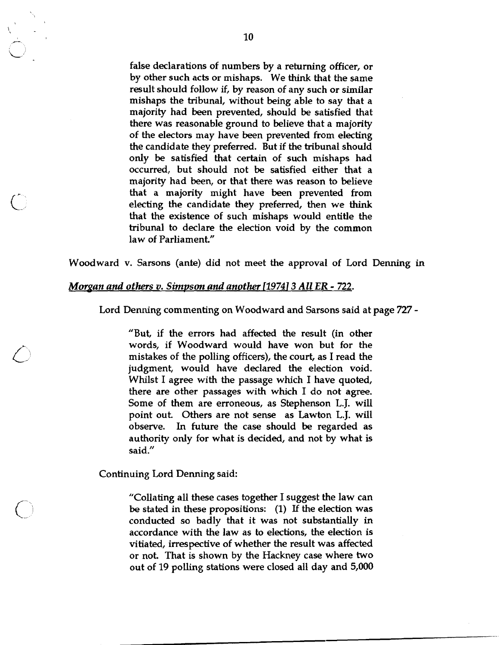false declarations of numbers by a returning officer, or by other such acts or mishaps. We think that the same result should follow if, by reason of any such or similar mishaps the tribunal, without being able to say that a majority had been prevented, should be satisfied that there was reasonable ground to believe that a majority of the electors may have been prevented from electing the candidate they preferred. But if the tribunal should only be satisfied that certain of such mishaps had occurred, but should not be satisfied either that a majority had been, or that there was reason to believe that a majority might have been prevented from electing the candidate they preferred, then we think that the existence of such mishaps would entitle the tribunal to declare the election void by the common law of Parliament"

Woodward v. Sarsons (ante) did not meet the approval of Lord Denning in

## *Morgan and others v. Simpson and another* [1974] 3 All ER - 722.

Lord Denning commenting on Woodward and Sarsons said at page 727 -

"But, if the errors had affected the result (in other words, if Woodward would have won but for the mistakes of the polling officers), the court, as I read the judgment, would have declared the election void. Whilst I agree with the passage which I have quoted, there are other passages with which I do not agree. Some of them are erroneous, as Stephenson L.J. will point out Others are not sense as Lawton L.J. will observe. In future the case should be regarded as authority only for what is decided, and not by what is said."

Continuing Lord Denning said:

"Collating all these cases together I suggest the law can be stated in these propositions: (1) **I€** the election was conducted so badly that it was not substantially in accordance with the law as to elections, the election is vitiated, irrespective of whether the result was affected or not. That is shown by the Hackney case where two out of 19 polling stations were closed all day and 5,000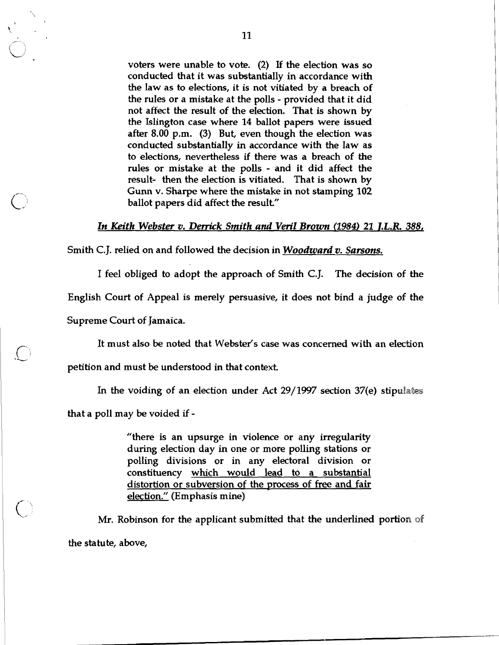voters were unable to vote. (2) If the election was so conducted that it was substantially in accordance with the law as to elections, it is not vitiated by a breach of the rules or a mistake at the polls - provided that it did not affect the result of the election. That is shown by the Islington case where **14** ballot papers were issued after **8.00** p.m. (3) But, even though the election was conducted substantially in accordance with the law as to elections, nevertheless if there was a breach of the rules or mistake at the polls - and it did affect the result- then the election is vitiated. That is shown by Gunn v. Sharpe where the mistake in not stamping **102**  ballot papers did affect the result"

#### **In** *Keith Webster* **v. Derrick** *Smith and* **Veril** *Brown* **(1984)** *21 1.L.R 388,*

Smith C.J. relied on and followed the decision in *Woodward v. Sarsons.* 

I feel obliged to adopt the approach of Smith C.J. The decision of the

English Court of Appeal is merely persuasive, it does not bind a judge of the

Supreme Court of Jamaica.

 $\bigcirc$ 

 $\bigcup$ 

It must also be noted that Webster's case was concerned with an election

petition and must be understood in that context

In the voiding of an election under Act 29/1997 section 37(e) stipulates

that a poll may be voided if -

"there is an upsurge in violence or any irregularity during election day in one or more polling stations or polling divisions or in any electoral division or constituency which would lead to a substantial distortion or subversion of the process of free and fair election." (Emphasis mine)

Mr. Robinson for the applicant submitted that the underlined portion of the statute, above,